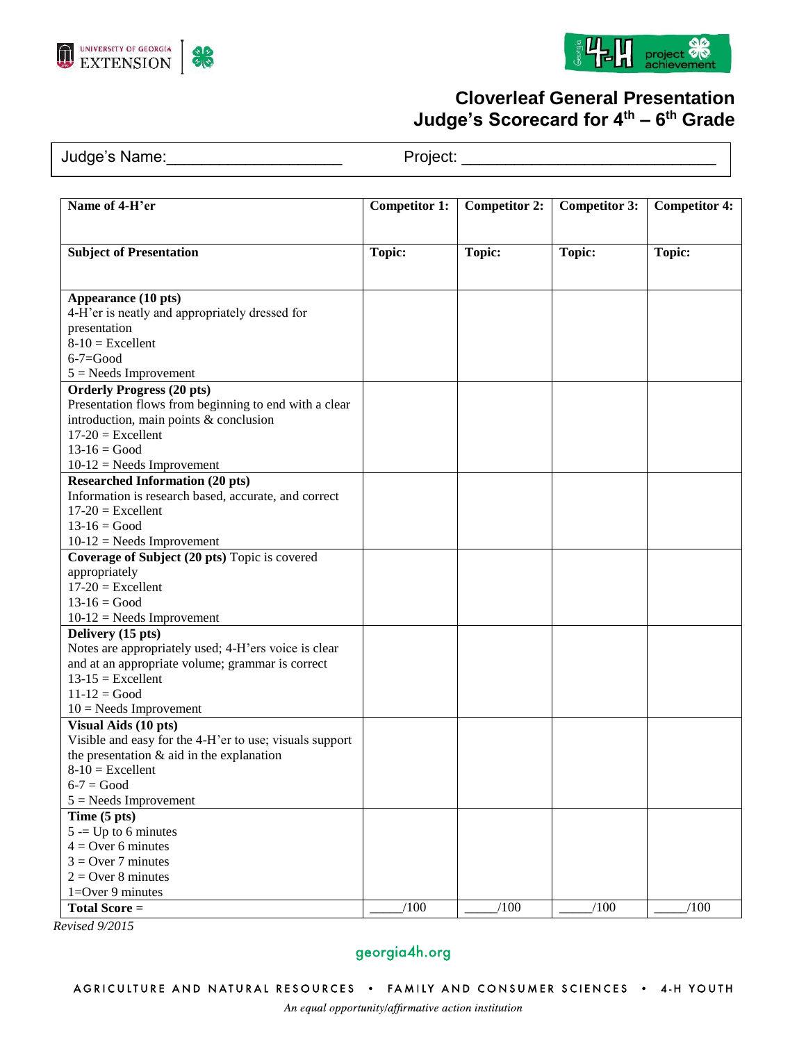





# **Cloverleaf General Presentation Judge's Scorecard for 4th – 6 th Grade**

Judge's Name:\_\_\_\_\_\_\_\_\_\_\_\_\_\_\_\_\_\_\_\_ Project: \_\_\_\_\_\_\_\_\_\_\_\_\_\_\_\_\_\_\_\_\_\_\_\_\_\_\_\_\_

| Name of 4-H'er                                                          | <b>Competitor 1:</b> | <b>Competitor 2:</b> | <b>Competitor 3:</b> | <b>Competitor 4:</b> |
|-------------------------------------------------------------------------|----------------------|----------------------|----------------------|----------------------|
| <b>Subject of Presentation</b>                                          | <b>Topic:</b>        | <b>Topic:</b>        | <b>Topic:</b>        | <b>Topic:</b>        |
| Appearance (10 pts)                                                     |                      |                      |                      |                      |
| 4-H'er is neatly and appropriately dressed for                          |                      |                      |                      |                      |
| presentation                                                            |                      |                      |                      |                      |
| $8-10$ = Excellent<br>$6 - 7 = Good$                                    |                      |                      |                      |                      |
| $5 =$ Needs Improvement                                                 |                      |                      |                      |                      |
| <b>Orderly Progress (20 pts)</b>                                        |                      |                      |                      |                      |
| Presentation flows from beginning to end with a clear                   |                      |                      |                      |                      |
| introduction, main points & conclusion                                  |                      |                      |                      |                      |
| $17-20$ = Excellent                                                     |                      |                      |                      |                      |
| $13 - 16 = Good$<br>$10-12$ = Needs Improvement                         |                      |                      |                      |                      |
| <b>Researched Information (20 pts)</b>                                  |                      |                      |                      |                      |
| Information is research based, accurate, and correct                    |                      |                      |                      |                      |
| $17-20$ = Excellent                                                     |                      |                      |                      |                      |
| $13 - 16 = Good$                                                        |                      |                      |                      |                      |
| $10-12$ = Needs Improvement                                             |                      |                      |                      |                      |
| Coverage of Subject (20 pts) Topic is covered<br>appropriately          |                      |                      |                      |                      |
| $17-20$ = Excellent                                                     |                      |                      |                      |                      |
| $13 - 16 = Good$                                                        |                      |                      |                      |                      |
| $10-12$ = Needs Improvement                                             |                      |                      |                      |                      |
| Delivery (15 pts)                                                       |                      |                      |                      |                      |
| Notes are appropriately used; 4-H'ers voice is clear                    |                      |                      |                      |                      |
| and at an appropriate volume; grammar is correct<br>$13-15$ = Excellent |                      |                      |                      |                      |
| $11 - 12 = Good$                                                        |                      |                      |                      |                      |
| $10$ = Needs Improvement                                                |                      |                      |                      |                      |
| Visual Aids (10 pts)                                                    |                      |                      |                      |                      |
| Visible and easy for the 4-H'er to use; visuals support                 |                      |                      |                      |                      |
| the presentation $\&$ aid in the explanation                            |                      |                      |                      |                      |
| $8-10$ = Excellent<br>$6-7 = Good$                                      |                      |                      |                      |                      |
| $5 =$ Needs Improvement                                                 |                      |                      |                      |                      |
| Time (5 pts)                                                            |                      |                      |                      |                      |
| $5 = Up to 6 minutes$                                                   |                      |                      |                      |                      |
| $4 =$ Over 6 minutes                                                    |                      |                      |                      |                      |
| $3 = Over 7 minutes$                                                    |                      |                      |                      |                      |
| $2 = Over 8 minutes$                                                    |                      |                      |                      |                      |
| $1 = Over 9 minutes$<br><b>Total Score =</b>                            | /100                 | /100                 | /100                 | /100                 |
|                                                                         |                      |                      |                      |                      |

*Revised 9/2015*

## georgia4h.org

AGRICULTURE AND NATURAL RESOURCES . FAMILY AND CONSUMER SCIENCES . 4-H YOUTH